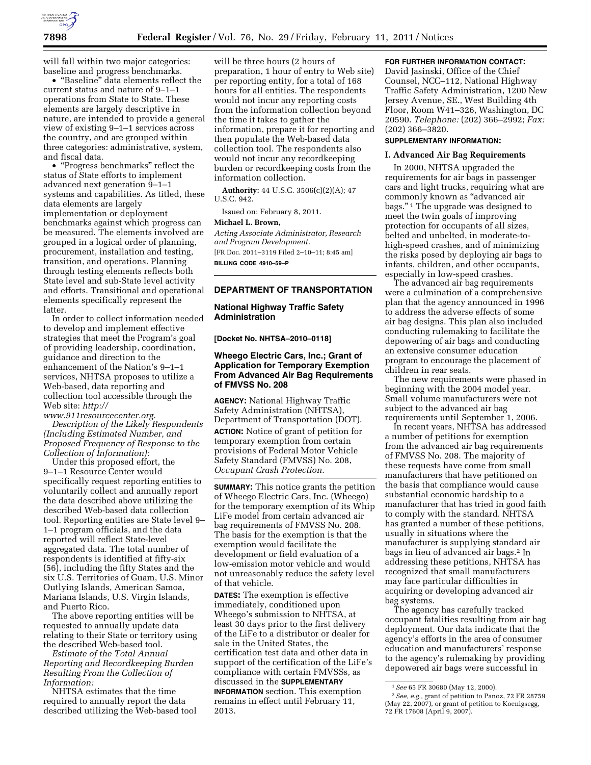

will fall within two major categories: baseline and progress benchmarks.

• ''Baseline'' data elements reflect the current status and nature of 9–1–1 operations from State to State. These elements are largely descriptive in nature, are intended to provide a general view of existing 9–1–1 services across the country, and are grouped within three categories: administrative, system, and fiscal data.

• ''Progress benchmarks'' reflect the status of State efforts to implement advanced next generation 9–1–1 systems and capabilities. As titled, these data elements are largely implementation or deployment benchmarks against which progress can be measured. The elements involved are grouped in a logical order of planning, procurement, installation and testing, transition, and operations. Planning through testing elements reflects both State level and sub-State level activity and efforts. Transitional and operational elements specifically represent the latter.

In order to collect information needed to develop and implement effective strategies that meet the Program's goal of providing leadership, coordination, guidance and direction to the enhancement of the Nation's 9–1–1 services, NHTSA proposes to utilize a Web-based, data reporting and collection tool accessible through the Web site: *http://* 

*[www.911resourcecenter.org.](http://www.911resourcecenter.org)  Description of the Likely Respondents (Including Estimated Number, and Proposed Frequency of Response to the Collection of Information):* 

Under this proposed effort, the 9–1–1 Resource Center would specifically request reporting entities to voluntarily collect and annually report the data described above utilizing the described Web-based data collection tool. Reporting entities are State level 9– 1–1 program officials, and the data reported will reflect State-level aggregated data. The total number of respondents is identified at fifty-six (56), including the fifty States and the six U.S. Territories of Guam, U.S. Minor Outlying Islands, American Samoa, Mariana Islands, U.S. Virgin Islands, and Puerto Rico.

The above reporting entities will be requested to annually update data relating to their State or territory using the described Web-based tool.

*Estimate of the Total Annual Reporting and Recordkeeping Burden Resulting From the Collection of Information:* 

NHTSA estimates that the time required to annually report the data described utilizing the Web-based tool

will be three hours (2 hours of preparation, 1 hour of entry to Web site) per reporting entity, for a total of 168 hours for all entities. The respondents would not incur any reporting costs from the information collection beyond the time it takes to gather the information, prepare it for reporting and then populate the Web-based data collection tool. The respondents also would not incur any recordkeeping burden or recordkeeping costs from the information collection.

**Authority:** 44 U.S.C. 3506(c)(2)(A); 47 U.S.C. 942.

Issued on: February 8, 2011.

## **Michael L. Brown,**

*Acting Associate Administrator, Research and Program Development.* 

[FR Doc. 2011–3119 Filed 2–10–11; 8:45 am] **BILLING CODE 4910–59–P** 

## **DEPARTMENT OF TRANSPORTATION**

# **National Highway Traffic Safety Administration**

**[Docket No. NHTSA–2010–0118]** 

## **Wheego Electric Cars, Inc.; Grant of Application for Temporary Exemption From Advanced Air Bag Requirements of FMVSS No. 208**

**AGENCY:** National Highway Traffic Safety Administration (NHTSA), Department of Transportation (DOT). **ACTION:** Notice of grant of petition for temporary exemption from certain provisions of Federal Motor Vehicle Safety Standard (FMVSS) No. 208, *Occupant Crash Protection.* 

**SUMMARY:** This notice grants the petition of Wheego Electric Cars, Inc. (Wheego) for the temporary exemption of its Whip LiFe model from certain advanced air bag requirements of FMVSS No. 208. The basis for the exemption is that the exemption would facilitate the development or field evaluation of a low-emission motor vehicle and would not unreasonably reduce the safety level of that vehicle.

**DATES:** The exemption is effective immediately, conditioned upon Wheego's submission to NHTSA, at least 30 days prior to the first delivery of the LiFe to a distributor or dealer for sale in the United States, the certification test data and other data in support of the certification of the LiFe's compliance with certain FMVSSs, as discussed in the **SUPPLEMENTARY**

**INFORMATION** section. This exemption remains in effect until February 11, 2013.

# **FOR FURTHER INFORMATION CONTACT:**

David Jasinski, Office of the Chief Counsel, NCC–112, National Highway Traffic Safety Administration, 1200 New Jersey Avenue, SE., West Building 4th Floor, Room W41–326, Washington, DC 20590. *Telephone:* (202) 366–2992; *Fax:*  (202) 366–3820.

# **SUPPLEMENTARY INFORMATION:**

## **I. Advanced Air Bag Requirements**

In 2000, NHTSA upgraded the requirements for air bags in passenger cars and light trucks, requiring what are commonly known as "advanced air bags.'' 1 The upgrade was designed to meet the twin goals of improving protection for occupants of all sizes, belted and unbelted, in moderate-tohigh-speed crashes, and of minimizing the risks posed by deploying air bags to infants, children, and other occupants, especially in low-speed crashes.

The advanced air bag requirements were a culmination of a comprehensive plan that the agency announced in 1996 to address the adverse effects of some air bag designs. This plan also included conducting rulemaking to facilitate the depowering of air bags and conducting an extensive consumer education program to encourage the placement of children in rear seats.

The new requirements were phased in beginning with the 2004 model year. Small volume manufacturers were not subject to the advanced air bag requirements until September 1, 2006.

In recent years, NHTSA has addressed a number of petitions for exemption from the advanced air bag requirements of FMVSS No. 208. The majority of these requests have come from small manufacturers that have petitioned on the basis that compliance would cause substantial economic hardship to a manufacturer that has tried in good faith to comply with the standard. NHTSA has granted a number of these petitions, usually in situations where the manufacturer is supplying standard air bags in lieu of advanced air bags.2 In addressing these petitions, NHTSA has recognized that small manufacturers may face particular difficulties in acquiring or developing advanced air bag systems.

The agency has carefully tracked occupant fatalities resulting from air bag deployment. Our data indicate that the agency's efforts in the area of consumer education and manufacturers' response to the agency's rulemaking by providing depowered air bags were successful in

<sup>1</sup>*See* 65 FR 30680 (May 12, 2000).

<sup>2</sup>*See, e.g.,* grant of petition to Panoz, 72 FR 28759 (May 22, 2007), or grant of petition to Koenigsegg, 72 FR 17608 (April 9, 2007).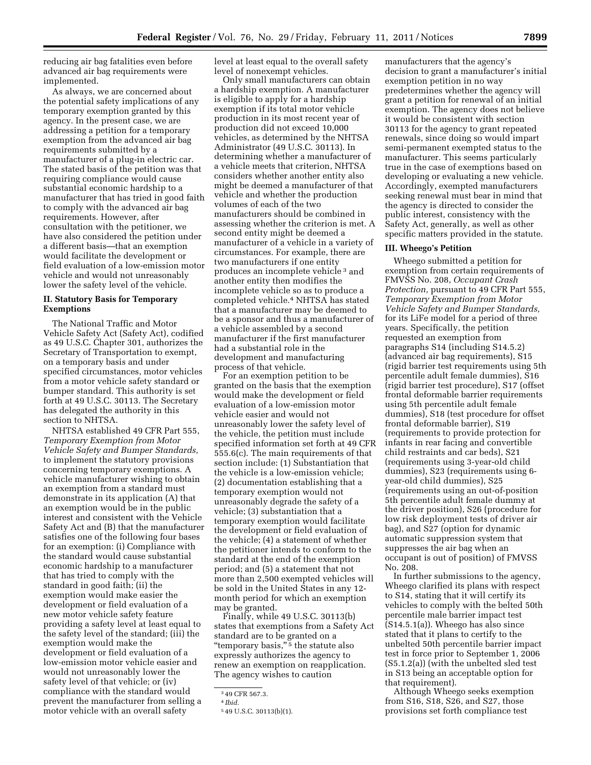reducing air bag fatalities even before advanced air bag requirements were implemented.

As always, we are concerned about the potential safety implications of any temporary exemption granted by this agency. In the present case, we are addressing a petition for a temporary exemption from the advanced air bag requirements submitted by a manufacturer of a plug-in electric car. The stated basis of the petition was that requiring compliance would cause substantial economic hardship to a manufacturer that has tried in good faith to comply with the advanced air bag requirements. However, after consultation with the petitioner, we have also considered the petition under a different basis—that an exemption would facilitate the development or field evaluation of a low-emission motor vehicle and would not unreasonably lower the safety level of the vehicle.

## **II. Statutory Basis for Temporary Exemptions**

The National Traffic and Motor Vehicle Safety Act (Safety Act), codified as 49 U.S.C. Chapter 301, authorizes the Secretary of Transportation to exempt, on a temporary basis and under specified circumstances, motor vehicles from a motor vehicle safety standard or bumper standard. This authority is set forth at 49 U.S.C. 30113. The Secretary has delegated the authority in this section to NHTSA.

NHTSA established 49 CFR Part 555, *Temporary Exemption from Motor Vehicle Safety and Bumper Standards,*  to implement the statutory provisions concerning temporary exemptions. A vehicle manufacturer wishing to obtain an exemption from a standard must demonstrate in its application (A) that an exemption would be in the public interest and consistent with the Vehicle Safety Act and (B) that the manufacturer satisfies one of the following four bases for an exemption: (i) Compliance with the standard would cause substantial economic hardship to a manufacturer that has tried to comply with the standard in good faith; (ii) the exemption would make easier the development or field evaluation of a new motor vehicle safety feature providing a safety level at least equal to the safety level of the standard; (iii) the exemption would make the development or field evaluation of a low-emission motor vehicle easier and would not unreasonably lower the safety level of that vehicle; or (iv) compliance with the standard would prevent the manufacturer from selling a motor vehicle with an overall safety

level at least equal to the overall safety level of nonexempt vehicles.

Only small manufacturers can obtain a hardship exemption. A manufacturer is eligible to apply for a hardship exemption if its total motor vehicle production in its most recent year of production did not exceed 10,000 vehicles, as determined by the NHTSA Administrator (49 U.S.C. 30113). In determining whether a manufacturer of a vehicle meets that criterion, NHTSA considers whether another entity also might be deemed a manufacturer of that vehicle and whether the production volumes of each of the two manufacturers should be combined in assessing whether the criterion is met. A second entity might be deemed a manufacturer of a vehicle in a variety of circumstances. For example, there are two manufacturers if one entity produces an incomplete vehicle 3 and another entity then modifies the incomplete vehicle so as to produce a completed vehicle.4 NHTSA has stated that a manufacturer may be deemed to be a sponsor and thus a manufacturer of a vehicle assembled by a second manufacturer if the first manufacturer had a substantial role in the development and manufacturing process of that vehicle.

For an exemption petition to be granted on the basis that the exemption would make the development or field evaluation of a low-emission motor vehicle easier and would not unreasonably lower the safety level of the vehicle, the petition must include specified information set forth at 49 CFR 555.6(c). The main requirements of that section include: (1) Substantiation that the vehicle is a low-emission vehicle; (2) documentation establishing that a temporary exemption would not unreasonably degrade the safety of a vehicle; (3) substantiation that a temporary exemption would facilitate the development or field evaluation of the vehicle; (4) a statement of whether the petitioner intends to conform to the standard at the end of the exemption period; and (5) a statement that not more than 2,500 exempted vehicles will be sold in the United States in any 12 month period for which an exemption may be granted.

Finally, while 49 U.S.C. 30113(b) states that exemptions from a Safety Act standard are to be granted on a "temporary basis,"<sup>5</sup> the statute also expressly authorizes the agency to renew an exemption on reapplication. The agency wishes to caution

manufacturers that the agency's decision to grant a manufacturer's initial exemption petition in no way predetermines whether the agency will grant a petition for renewal of an initial exemption. The agency does not believe it would be consistent with section 30113 for the agency to grant repeated renewals, since doing so would impart semi-permanent exempted status to the manufacturer. This seems particularly true in the case of exemptions based on developing or evaluating a new vehicle. Accordingly, exempted manufacturers seeking renewal must bear in mind that the agency is directed to consider the public interest, consistency with the Safety Act, generally, as well as other specific matters provided in the statute.

#### **III. Wheego's Petition**

Wheego submitted a petition for exemption from certain requirements of FMVSS No. 208, *Occupant Crash Protection,* pursuant to 49 CFR Part 555, *Temporary Exemption from Motor Vehicle Safety and Bumper Standards,*  for its LiFe model for a period of three years. Specifically, the petition requested an exemption from paragraphs S14 (including S14.5.2) (advanced air bag requirements), S15 (rigid barrier test requirements using 5th percentile adult female dummies), S16 (rigid barrier test procedure), S17 (offset frontal deformable barrier requirements using 5th percentile adult female dummies), S18 (test procedure for offset frontal deformable barrier), S19 (requirements to provide protection for infants in rear facing and convertible child restraints and car beds), S21 (requirements using 3-year-old child dummies), S23 (requirements using 6 year-old child dummies), S25 (requirements using an out-of-position 5th percentile adult female dummy at the driver position), S26 (procedure for low risk deployment tests of driver air bag), and S27 (option for dynamic automatic suppression system that suppresses the air bag when an occupant is out of position) of FMVSS No. 208.

In further submissions to the agency, Wheego clarified its plans with respect to S14, stating that it will certify its vehicles to comply with the belted 50th percentile male barrier impact test (S14.5.1(a)). Wheego has also since stated that it plans to certify to the unbelted 50th percentile barrier impact test in force prior to September 1, 2006 (S5.1.2(a)) (with the unbelted sled test in S13 being an acceptable option for that requirement).

Although Wheego seeks exemption from S16, S18, S26, and S27, those provisions set forth compliance test

<sup>3</sup> 49 CFR 567.3.

<sup>4</sup> *Ibid.* 

<sup>5</sup> 49 U.S.C. 30113(b)(1).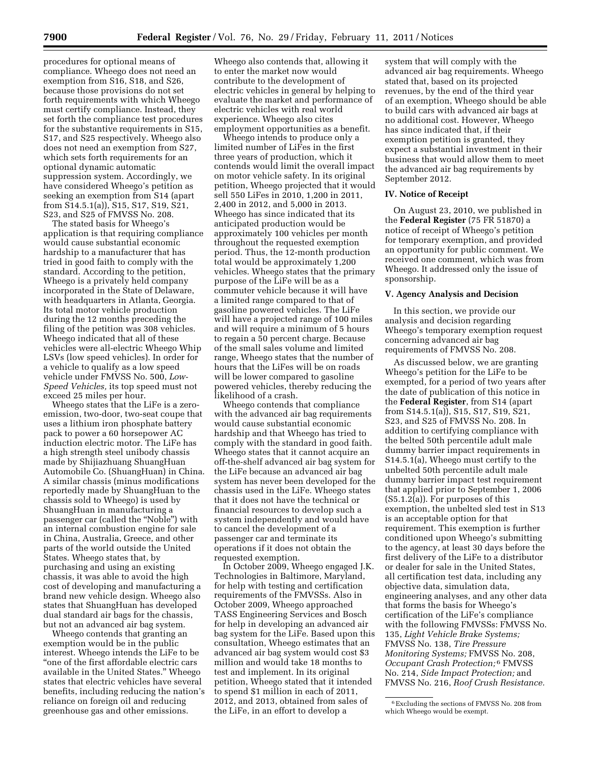procedures for optional means of compliance. Wheego does not need an exemption from S16, S18, and S26, because those provisions do not set forth requirements with which Wheego must certify compliance. Instead, they set forth the compliance test procedures for the substantive requirements in S15, S17, and S25 respectively. Wheego also does not need an exemption from S27, which sets forth requirements for an optional dynamic automatic suppression system. Accordingly, we have considered Wheego's petition as seeking an exemption from S14 (apart from S14.5.1(a)), S15, S17, S19, S21, S23, and S25 of FMVSS No. 208.

The stated basis for Wheego's application is that requiring compliance would cause substantial economic hardship to a manufacturer that has tried in good faith to comply with the standard. According to the petition, Wheego is a privately held company incorporated in the State of Delaware, with headquarters in Atlanta, Georgia. Its total motor vehicle production during the 12 months preceding the filing of the petition was 308 vehicles. Wheego indicated that all of these vehicles were all-electric Wheego Whip LSVs (low speed vehicles). In order for a vehicle to qualify as a low speed vehicle under FMVSS No. 500, *Low-Speed Vehicles,* its top speed must not exceed 25 miles per hour.

Wheego states that the LiFe is a zeroemission, two-door, two-seat coupe that uses a lithium iron phosphate battery pack to power a 60 horsepower AC induction electric motor. The LiFe has a high strength steel unibody chassis made by Shijiazhuang ShuangHuan Automobile Co. (ShuangHuan) in China. A similar chassis (minus modifications reportedly made by ShuangHuan to the chassis sold to Wheego) is used by ShuangHuan in manufacturing a passenger car (called the ''Noble'') with an internal combustion engine for sale in China, Australia, Greece, and other parts of the world outside the United States. Wheego states that, by purchasing and using an existing chassis, it was able to avoid the high cost of developing and manufacturing a brand new vehicle design. Wheego also states that ShuangHuan has developed dual standard air bags for the chassis, but not an advanced air bag system.

Wheego contends that granting an exemption would be in the public interest. Wheego intends the LiFe to be ''one of the first affordable electric cars available in the United States.'' Wheego states that electric vehicles have several benefits, including reducing the nation's reliance on foreign oil and reducing greenhouse gas and other emissions.

Wheego also contends that, allowing it to enter the market now would contribute to the development of electric vehicles in general by helping to evaluate the market and performance of electric vehicles with real world experience. Wheego also cites employment opportunities as a benefit.

Wheego intends to produce only a limited number of LiFes in the first three years of production, which it contends would limit the overall impact on motor vehicle safety. In its original petition, Wheego projected that it would sell 550 LiFes in 2010, 1,200 in 2011, 2,400 in 2012, and 5,000 in 2013. Wheego has since indicated that its anticipated production would be approximately 100 vehicles per month throughout the requested exemption period. Thus, the 12-month production total would be approximately 1,200 vehicles. Wheego states that the primary purpose of the LiFe will be as a commuter vehicle because it will have a limited range compared to that of gasoline powered vehicles. The LiFe will have a projected range of 100 miles and will require a minimum of 5 hours to regain a 50 percent charge. Because of the small sales volume and limited range, Wheego states that the number of hours that the LiFes will be on roads will be lower compared to gasoline powered vehicles, thereby reducing the likelihood of a crash.

Wheego contends that compliance with the advanced air bag requirements would cause substantial economic hardship and that Wheego has tried to comply with the standard in good faith. Wheego states that it cannot acquire an off-the-shelf advanced air bag system for the LiFe because an advanced air bag system has never been developed for the chassis used in the LiFe. Wheego states that it does not have the technical or financial resources to develop such a system independently and would have to cancel the development of a passenger car and terminate its operations if it does not obtain the requested exemption.

In October 2009, Wheego engaged J.K. Technologies in Baltimore, Maryland, for help with testing and certification requirements of the FMVSSs. Also in October 2009, Wheego approached TASS Engineering Services and Bosch for help in developing an advanced air bag system for the LiFe. Based upon this consultation, Wheego estimates that an advanced air bag system would cost \$3 million and would take 18 months to test and implement. In its original petition, Wheego stated that it intended to spend \$1 million in each of 2011, 2012, and 2013, obtained from sales of the LiFe, in an effort to develop a

system that will comply with the advanced air bag requirements. Wheego stated that, based on its projected revenues, by the end of the third year of an exemption, Wheego should be able to build cars with advanced air bags at no additional cost. However, Wheego has since indicated that, if their exemption petition is granted, they expect a substantial investment in their business that would allow them to meet the advanced air bag requirements by September 2012.

## **IV. Notice of Receipt**

On August 23, 2010, we published in the **Federal Register** (75 FR 51870) a notice of receipt of Wheego's petition for temporary exemption, and provided an opportunity for public comment. We received one comment, which was from Wheego. It addressed only the issue of sponsorship.

# **V. Agency Analysis and Decision**

In this section, we provide our analysis and decision regarding Wheego's temporary exemption request concerning advanced air bag requirements of FMVSS No. 208.

As discussed below, we are granting Wheego's petition for the LiFe to be exempted, for a period of two years after the date of publication of this notice in the **Federal Register**, from S14 (apart from S14.5.1(a)), S15, S17, S19, S21, S23, and S25 of FMVSS No. 208. In addition to certifying compliance with the belted 50th percentile adult male dummy barrier impact requirements in S14.5.1(a), Wheego must certify to the unbelted 50th percentile adult male dummy barrier impact test requirement that applied prior to September 1, 2006 (S5.1.2(a)). For purposes of this exemption, the unbelted sled test in S13 is an acceptable option for that requirement. This exemption is further conditioned upon Wheego's submitting to the agency, at least 30 days before the first delivery of the LiFe to a distributor or dealer for sale in the United States, all certification test data, including any objective data, simulation data, engineering analyses, and any other data that forms the basis for Wheego's certification of the LiFe's compliance with the following FMVSSs: FMVSS No. 135, *Light Vehicle Brake Systems;*  FMVSS No. 138, *Tire Pressure Monitoring Systems;* FMVSS No. 208, *Occupant Crash Protection;* 6 FMVSS No. 214, *Side Impact Protection;* and FMVSS No. 216, *Roof Crush Resistance.* 

<sup>6</sup>Excluding the sections of FMVSS No. 208 from which Wheego would be exempt.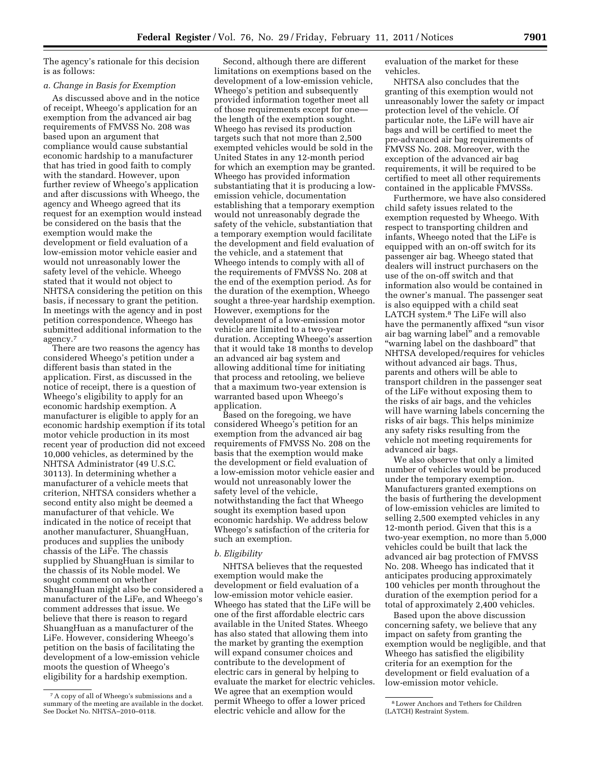The agency's rationale for this decision is as follows:

#### *a. Change in Basis for Exemption*

As discussed above and in the notice of receipt, Wheego's application for an exemption from the advanced air bag requirements of FMVSS No. 208 was based upon an argument that compliance would cause substantial economic hardship to a manufacturer that has tried in good faith to comply with the standard. However, upon further review of Wheego's application and after discussions with Wheego, the agency and Wheego agreed that its request for an exemption would instead be considered on the basis that the exemption would make the development or field evaluation of a low-emission motor vehicle easier and would not unreasonably lower the safety level of the vehicle. Wheego stated that it would not object to NHTSA considering the petition on this basis, if necessary to grant the petition. In meetings with the agency and in post petition correspondence, Wheego has submitted additional information to the agency.7

There are two reasons the agency has considered Wheego's petition under a different basis than stated in the application. First, as discussed in the notice of receipt, there is a question of Wheego's eligibility to apply for an economic hardship exemption. A manufacturer is eligible to apply for an economic hardship exemption if its total motor vehicle production in its most recent year of production did not exceed 10,000 vehicles, as determined by the NHTSA Administrator (49 U.S.C. 30113). In determining whether a manufacturer of a vehicle meets that criterion, NHTSA considers whether a second entity also might be deemed a manufacturer of that vehicle. We indicated in the notice of receipt that another manufacturer, ShuangHuan, produces and supplies the unibody chassis of the LiFe. The chassis supplied by ShuangHuan is similar to the chassis of its Noble model. We sought comment on whether ShuangHuan might also be considered a manufacturer of the LiFe, and Wheego's comment addresses that issue. We believe that there is reason to regard ShuangHuan as a manufacturer of the LiFe. However, considering Wheego's petition on the basis of facilitating the development of a low-emission vehicle moots the question of Wheego's eligibility for a hardship exemption.

Second, although there are different limitations on exemptions based on the development of a low-emission vehicle, Wheego's petition and subsequently provided information together meet all of those requirements except for one the length of the exemption sought. Wheego has revised its production targets such that not more than 2,500 exempted vehicles would be sold in the United States in any 12-month period for which an exemption may be granted. Wheego has provided information substantiating that it is producing a lowemission vehicle, documentation establishing that a temporary exemption would not unreasonably degrade the safety of the vehicle, substantiation that a temporary exemption would facilitate the development and field evaluation of the vehicle, and a statement that Wheego intends to comply with all of the requirements of FMVSS No. 208 at the end of the exemption period. As for the duration of the exemption, Wheego sought a three-year hardship exemption. However, exemptions for the development of a low-emission motor vehicle are limited to a two-year duration. Accepting Wheego's assertion that it would take 18 months to develop an advanced air bag system and allowing additional time for initiating that process and retooling, we believe that a maximum two-year extension is warranted based upon Wheego's application.

Based on the foregoing, we have considered Wheego's petition for an exemption from the advanced air bag requirements of FMVSS No. 208 on the basis that the exemption would make the development or field evaluation of a low-emission motor vehicle easier and would not unreasonably lower the safety level of the vehicle, notwithstanding the fact that Wheego sought its exemption based upon economic hardship. We address below Wheego's satisfaction of the criteria for such an exemption.

# *b. Eligibility*

NHTSA believes that the requested exemption would make the development or field evaluation of a low-emission motor vehicle easier. Wheego has stated that the LiFe will be one of the first affordable electric cars available in the United States. Wheego has also stated that allowing them into the market by granting the exemption will expand consumer choices and contribute to the development of electric cars in general by helping to evaluate the market for electric vehicles. We agree that an exemption would permit Wheego to offer a lower priced electric vehicle and allow for the

evaluation of the market for these vehicles.

NHTSA also concludes that the granting of this exemption would not unreasonably lower the safety or impact protection level of the vehicle. Of particular note, the LiFe will have air bags and will be certified to meet the pre-advanced air bag requirements of FMVSS No. 208. Moreover, with the exception of the advanced air bag requirements, it will be required to be certified to meet all other requirements contained in the applicable FMVSSs.

Furthermore, we have also considered child safety issues related to the exemption requested by Wheego. With respect to transporting children and infants, Wheego noted that the LiFe is equipped with an on-off switch for its passenger air bag. Wheego stated that dealers will instruct purchasers on the use of the on-off switch and that information also would be contained in the owner's manual. The passenger seat is also equipped with a child seat LATCH system.8 The LiFe will also have the permanently affixed "sun visor air bag warning label'' and a removable ''warning label on the dashboard'' that NHTSA developed/requires for vehicles without advanced air bags. Thus, parents and others will be able to transport children in the passenger seat of the LiFe without exposing them to the risks of air bags, and the vehicles will have warning labels concerning the risks of air bags. This helps minimize any safety risks resulting from the vehicle not meeting requirements for advanced air bags.

We also observe that only a limited number of vehicles would be produced under the temporary exemption. Manufacturers granted exemptions on the basis of furthering the development of low-emission vehicles are limited to selling 2,500 exempted vehicles in any 12-month period. Given that this is a two-year exemption, no more than 5,000 vehicles could be built that lack the advanced air bag protection of FMVSS No. 208. Wheego has indicated that it anticipates producing approximately 100 vehicles per month throughout the duration of the exemption period for a total of approximately 2,400 vehicles.

Based upon the above discussion concerning safety, we believe that any impact on safety from granting the exemption would be negligible, and that Wheego has satisfied the eligibility criteria for an exemption for the development or field evaluation of a low-emission motor vehicle.

<sup>7</sup>A copy of all of Wheego's submissions and a summary of the meeting are available in the docket. See Docket No. NHTSA-2010-0118.

<sup>8</sup>Lower Anchors and Tethers for Children (LATCH) Restraint System.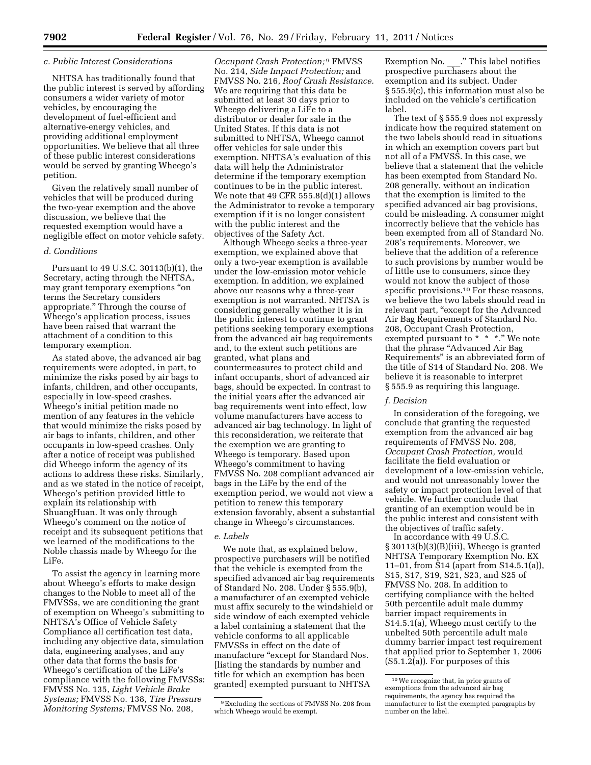#### *c. Public Interest Considerations*

NHTSA has traditionally found that the public interest is served by affording consumers a wider variety of motor vehicles, by encouraging the development of fuel-efficient and alternative-energy vehicles, and providing additional employment opportunities. We believe that all three of these public interest considerations would be served by granting Wheego's petition.

Given the relatively small number of vehicles that will be produced during the two-year exemption and the above discussion, we believe that the requested exemption would have a negligible effect on motor vehicle safety.

#### *d. Conditions*

Pursuant to 49 U.S.C. 30113(b)(1), the Secretary, acting through the NHTSA, may grant temporary exemptions ''on terms the Secretary considers appropriate.'' Through the course of Wheego's application process, issues have been raised that warrant the attachment of a condition to this temporary exemption.

As stated above, the advanced air bag requirements were adopted, in part, to minimize the risks posed by air bags to infants, children, and other occupants, especially in low-speed crashes. Wheego's initial petition made no mention of any features in the vehicle that would minimize the risks posed by air bags to infants, children, and other occupants in low-speed crashes. Only after a notice of receipt was published did Wheego inform the agency of its actions to address these risks. Similarly, and as we stated in the notice of receipt, Wheego's petition provided little to explain its relationship with ShuangHuan. It was only through Wheego's comment on the notice of receipt and its subsequent petitions that we learned of the modifications to the Noble chassis made by Wheego for the LiFe.

To assist the agency in learning more about Wheego's efforts to make design changes to the Noble to meet all of the FMVSSs, we are conditioning the grant of exemption on Wheego's submitting to NHTSA's Office of Vehicle Safety Compliance all certification test data, including any objective data, simulation data, engineering analyses, and any other data that forms the basis for Wheego's certification of the LiFe's compliance with the following FMVSSs: FMVSS No. 135, *Light Vehicle Brake Systems;* FMVSS No. 138, *Tire Pressure Monitoring Systems;* FMVSS No. 208,

*Occupant Crash Protection;* 9 FMVSS No. 214, *Side Impact Protection;* and FMVSS No. 216, *Roof Crush Resistance.*  We are requiring that this data be submitted at least 30 days prior to Wheego delivering a LiFe to a distributor or dealer for sale in the United States. If this data is not submitted to NHTSA, Wheego cannot offer vehicles for sale under this exemption. NHTSA's evaluation of this data will help the Administrator determine if the temporary exemption continues to be in the public interest. We note that 49 CFR 555.8(d)(1) allows the Administrator to revoke a temporary exemption if it is no longer consistent with the public interest and the objectives of the Safety Act.

Although Wheego seeks a three-year exemption, we explained above that only a two-year exemption is available under the low-emission motor vehicle exemption. In addition, we explained above our reasons why a three-year exemption is not warranted. NHTSA is considering generally whether it is in the public interest to continue to grant petitions seeking temporary exemptions from the advanced air bag requirements and, to the extent such petitions are granted, what plans and countermeasures to protect child and infant occupants, short of advanced air bags, should be expected. In contrast to the initial years after the advanced air bag requirements went into effect, low volume manufacturers have access to advanced air bag technology. In light of this reconsideration, we reiterate that the exemption we are granting to Wheego is temporary. Based upon Wheego's commitment to having FMVSS No. 208 compliant advanced air bags in the LiFe by the end of the exemption period, we would not view a petition to renew this temporary extension favorably, absent a substantial change in Wheego's circumstances.

# *e. Labels*

We note that, as explained below, prospective purchasers will be notified that the vehicle is exempted from the specified advanced air bag requirements of Standard No. 208. Under § 555.9(b), a manufacturer of an exempted vehicle must affix securely to the windshield or side window of each exempted vehicle a label containing a statement that the vehicle conforms to all applicable FMVSSs in effect on the date of manufacture "except for Standard Nos. [listing the standards by number and title for which an exemption has been granted] exempted pursuant to NHTSA

Exemption No. \_\_\_." This label notifies prospective purchasers about the exemption and its subject. Under § 555.9(c), this information must also be included on the vehicle's certification label.

The text of § 555.9 does not expressly indicate how the required statement on the two labels should read in situations in which an exemption covers part but not all of a FMVSS. In this case, we believe that a statement that the vehicle has been exempted from Standard No. 208 generally, without an indication that the exemption is limited to the specified advanced air bag provisions, could be misleading. A consumer might incorrectly believe that the vehicle has been exempted from all of Standard No. 208's requirements. Moreover, we believe that the addition of a reference to such provisions by number would be of little use to consumers, since they would not know the subject of those specific provisions.<sup>10</sup> For these reasons, we believe the two labels should read in relevant part, "except for the Advanced" Air Bag Requirements of Standard No. 208, Occupant Crash Protection, exempted pursuant to \* \* \*." We note that the phrase ''Advanced Air Bag Requirements'' is an abbreviated form of the title of S14 of Standard No. 208. We believe it is reasonable to interpret § 555.9 as requiring this language.

#### *f. Decision*

In consideration of the foregoing, we conclude that granting the requested exemption from the advanced air bag requirements of FMVSS No. 208, *Occupant Crash Protection,* would facilitate the field evaluation or development of a low-emission vehicle, and would not unreasonably lower the safety or impact protection level of that vehicle. We further conclude that granting of an exemption would be in the public interest and consistent with the objectives of traffic safety.

In accordance with 49 U.S.C. § 30113(b)(3)(B)(iii), Wheego is granted NHTSA Temporary Exemption No. EX 11–01, from S14 (apart from S14.5.1(a)), S15, S17, S19, S21, S23, and S25 of FMVSS No. 208. In addition to certifying compliance with the belted 50th percentile adult male dummy barrier impact requirements in S14.5.1(a), Wheego must certify to the unbelted 50th percentile adult male dummy barrier impact test requirement that applied prior to September 1, 2006 (S5.1.2(a)). For purposes of this

<sup>9</sup>Excluding the sections of FMVSS No. 208 from which Wheego would be exempt.

<sup>10</sup>We recognize that, in prior grants of exemptions from the advanced air bag requirements, the agency has required the manufacturer to list the exempted paragraphs by number on the label.